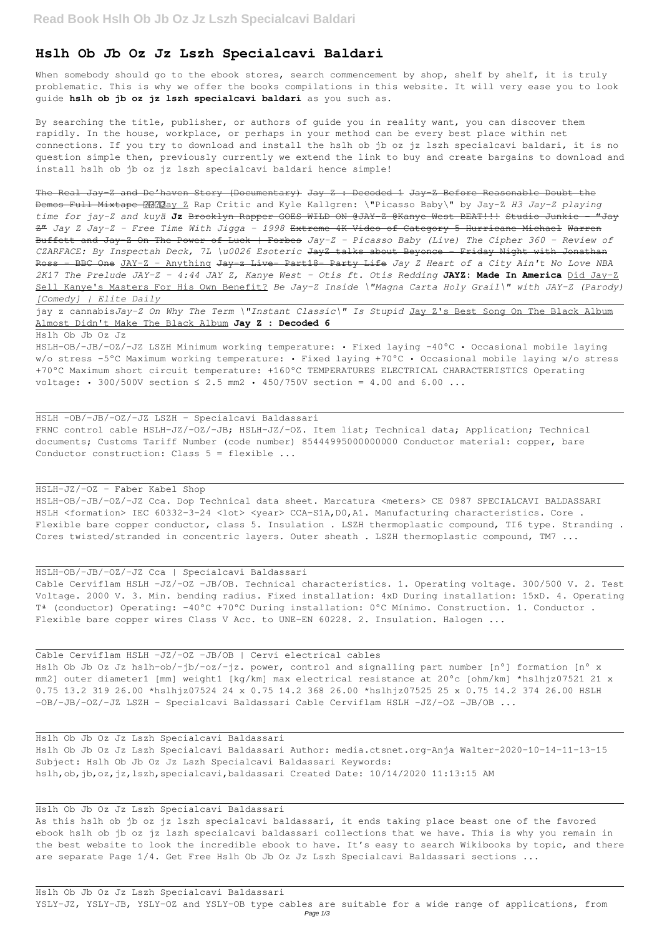## **Hslh Ob Jb Oz Jz Lszh Specialcavi Baldari**

When somebody should go to the ebook stores, search commencement by shop, shelf by shelf, it is truly problematic. This is why we offer the books compilations in this website. It will very ease you to look guide **hslh ob jb oz jz lszh specialcavi baldari** as you such as.

By searching the title, publisher, or authors of guide you in reality want, you can discover them rapidly. In the house, workplace, or perhaps in your method can be every best place within net connections. If you try to download and install the hslh ob jb oz jz lszh specialcavi baldari, it is no question simple then, previously currently we extend the link to buy and create bargains to download and install hslh ob jb oz jz lszh specialcavi baldari hence simple!

HSLH-OB/-JB/-OZ/-JZ LSZH Minimum working temperature: • Fixed laying -40°C • Occasional mobile laying w/o stress -5°C Maximum working temperature: • Fixed laying +70°C • Occasional mobile laying w/o stress +70°C Maximum short circuit temperature: +160°C TEMPERATURES ELECTRICAL CHARACTERISTICS Operating voltage: • 300/500V section  $\leq$  2.5 mm2 • 450/750V section = 4.00 and 6.00 ...

The Real Jay-Z and De'haven Story (Documentary) Jay Z : Decoded 1 Jay-Z Before Reasonable Doubt the Demos Full Mixtape **RRNa**y Z Rap Critic and Kyle Kallgren: \"Picasso Baby\" by Jay-Z H3 Jay-Z playing *time for jay-Z and kuyä* **Jz** Brooklyn Rapper GOES WILD ON @JAY-Z @Kanye West BEAT!!! Studio Junkie - "Jay Z" *Jay Z Jay-Z - Free Time With Jigga - 1998* Extreme 4K Video of Category 5 Hurricane Michael Warren Buffett and Jay-Z On The Power of Luck | Forbes *Jay-Z - Picasso Baby (Live) The Cipher 360 - Review of CZARFACE: By Inspectah Deck, 7L \u0026 Esoteric* JayZ talks about Beyonce - Friday Night with Jonathan Ross - BBC One JAY-Z - Anything Jay z Live Part18 Party Life *Jay Z Heart of a City Ain't No Love NBA 2K17 The Prelude JAY-Z - 4:44 JAY Z, Kanye West - Otis ft. Otis Redding* **JAYZ: Made In America** Did Jay-Z Sell Kanye's Masters For His Own Benefit? *Be Jay-Z Inside \"Magna Carta Holy Grail\" with JAY-Z (Parody) [Comedy] | Elite Daily*

jay z cannabis*Jay-Z On Why The Term \"Instant Classic\" Is Stupid* Jay Z's Best Song On The Black Album Almost Didn't Make The Black Album **Jay Z : Decoded 6**

Hslh Ob Jb Oz Jz

As this hslh ob jb oz jz lszh specialcavi baldassari, it ends taking place beast one of the favored ebook hslh ob jb oz jz lszh specialcavi baldassari collections that we have. This is why you remain in the best website to look the incredible ebook to have. It's easy to search Wikibooks by topic, and there are separate Page 1/4. Get Free Hslh Ob Jb Oz Jz Lszh Specialcavi Baldassari sections ...

HSLH -OB/-JB/-OZ/-JZ LSZH - Specialcavi Baldassari FRNC control cable HSLH-JZ/-OZ/-JB; HSLH-JZ/-OZ. Item list; Technical data; Application; Technical documents; Customs Tariff Number (code number) 85444995000000000 Conductor material: copper, bare Conductor construction: Class 5 = flexible ...

HSLH-JZ/-OZ - Faber Kabel Shop

HSLH-OB/-JB/-OZ/-JZ Cca. Dop Technical data sheet. Marcatura <meters> CE 0987 SPECIALCAVI BALDASSARI HSLH <formation> IEC 60332-3-24 <lot> <year> CCA-S1A, D0, A1. Manufacturing characteristics. Core . Flexible bare copper conductor, class 5. Insulation . LSZH thermoplastic compound, TI6 type. Stranding . Cores twisted/stranded in concentric layers. Outer sheath . LSZH thermoplastic compound, TM7 ...

HSLH-OB/-JB/-OZ/-JZ Cca | Specialcavi Baldassari Cable Cerviflam HSLH -JZ/-OZ -JB/OB. Technical characteristics. 1. Operating voltage. 300/500 V. 2. Test Voltage. 2000 V. 3. Min. bending radius. Fixed installation: 4xD During installation: 15xD. 4. Operating Tª (conductor) Operating: -40°C +70°C During installation: 0°C Mínimo. Construction. 1. Conductor . Flexible bare copper wires Class V Acc. to UNE-EN 60228. 2. Insulation. Halogen ...

Cable Cerviflam HSLH -JZ/-OZ -JB/OB | Cervi electrical cables Hslh Ob Jb Oz Jz hslh-ob/-jb/-oz/-jz. power, control and signalling part number [n°] formation [n° x mm2] outer diameter1 [mm] weight1 [kg/km] max electrical resistance at 20°c [ohm/km] \*hslhjz07521 21 x 0.75 13.2 319 26.00 \*hslhjz07524 24 x 0.75 14.2 368 26.00 \*hslhjz07525 25 x 0.75 14.2 374 26.00 HSLH -OB/-JB/-OZ/-JZ LSZH - Specialcavi Baldassari Cable Cerviflam HSLH -JZ/-OZ -JB/OB ...

Hslh Ob Jb Oz Jz Lszh Specialcavi Baldassari Hslh Ob Jb Oz Jz Lszh Specialcavi Baldassari Author: media.ctsnet.org-Anja Walter-2020-10-14-11-13-15 Subject: Hslh Ob Jb Oz Jz Lszh Specialcavi Baldassari Keywords: hslh,ob,jb,oz,jz,lszh,specialcavi,baldassari Created Date: 10/14/2020 11:13:15 AM

Hslh Ob Jb Oz Jz Lszh Specialcavi Baldassari

Hslh Ob Jb Oz Jz Lszh Specialcavi Baldassari

YSLY-JZ, YSLY-JB, YSLY-OZ and YSLY-OB type cables are suitable for a wide range of applications, from Page 1/3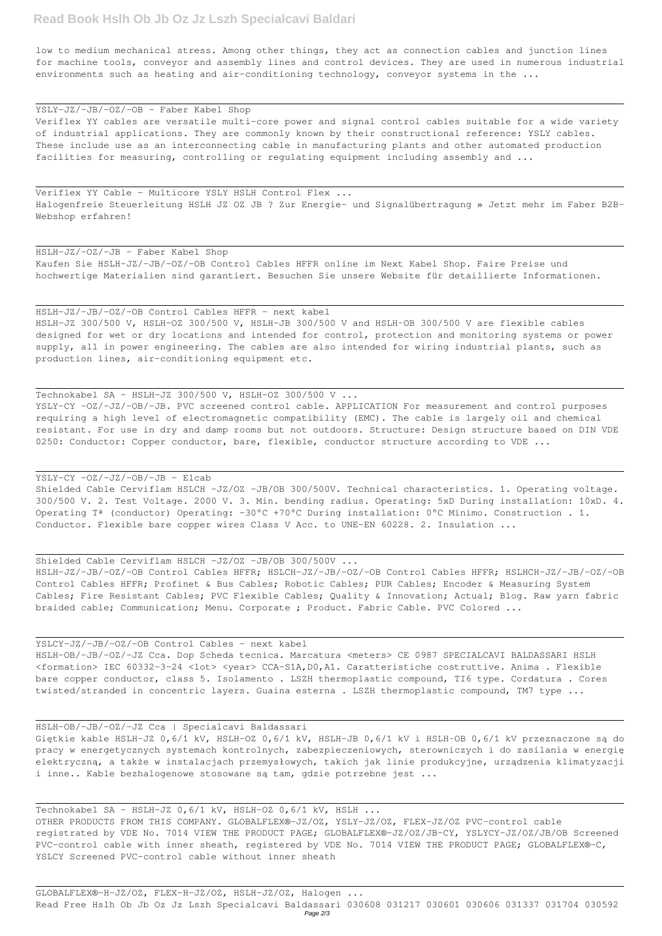low to medium mechanical stress. Among other things, they act as connection cables and junction lines for machine tools, conveyor and assembly lines and control devices. They are used in numerous industrial environments such as heating and air-conditioning technology, conveyor systems in the ...

YSLY-JZ/-JB/-OZ/-OB - Faber Kabel Shop Veriflex YY cables are versatile multi-core power and signal control cables suitable for a wide variety of industrial applications. They are commonly known by their constructional reference: YSLY cables. These include use as an interconnecting cable in manufacturing plants and other automated production facilities for measuring, controlling or regulating equipment including assembly and ...

Technokabel SA - HSLH-JZ 300/500 V, HSLH-OZ 300/500 V ... YSLY-CY -OZ/-JZ/-OB/-JB. PVC screened control cable. APPLICATION For measurement and control purposes requiring a high level of electromagnetic compatibility (EMC). The cable is largely oil and chemical resistant. For use in dry and damp rooms but not outdoors. Structure: Design structure based on DIN VDE 0250: Conductor: Copper conductor, bare, flexible, conductor structure according to VDE ...

Veriflex YY Cable – Multicore YSLY HSLH Control Flex ... Halogenfreie Steuerleitung HSLH JZ OZ JB ? Zur Energie- und Signalübertragung » Jetzt mehr im Faber B2B-Webshop erfahren!

HSLH-JZ/-OZ/-JB - Faber Kabel Shop Kaufen Sie HSLH-JZ/-JB/-OZ/-OB Control Cables HFFR online im Next Kabel Shop. Faire Preise und hochwertige Materialien sind garantiert. Besuchen Sie unsere Website für detaillierte Informationen.

HSLH-JZ/-JB/-OZ/-OB Control Cables HFFR - next kabel HSLH-JZ 300/500 V, HSLH-OZ 300/500 V, HSLH-JB 300/500 V and HSLH‑OB 300/500 V are flexible cables designed for wet or dry locations and intended for control, protection and monitoring systems or power supply, all in power engineering. The cables are also intended for wiring industrial plants, such as production lines, air-conditioning equipment etc.

## YSLY-CY -OZ/-JZ/-OB/-JB - Elcab

Shielded Cable Cerviflam HSLCH -JZ/OZ -JB/OB 300/500V. Technical characteristics. 1. Operating voltage. 300/500 V. 2. Test Voltage. 2000 V. 3. Min. bending radius. Operating: 5xD During installation: 10xD. 4. Operating Tª (conductor) Operating: -30°C +70°C During installation: 0°C Mínimo. Construction . 1. Conductor. Flexible bare copper wires Class V Acc. to UNE-EN 60228. 2. Insulation ...

Shielded Cable Cerviflam HSLCH -JZ/OZ -JB/OB 300/500V ...

HSLH-JZ/-JB/-OZ/-OB Control Cables HFFR; HSLCH-JZ/-JB/-OZ/-OB Control Cables HFFR; HSLHCH-JZ/-JB/-OZ/-OB Control Cables HFFR; Profinet & Bus Cables; Robotic Cables; PUR Cables; Encoder & Measuring System Cables; Fire Resistant Cables; PVC Flexible Cables; Quality & Innovation; Actual; Blog. Raw yarn fabric braided cable; Communication; Menu. Corporate ; Product. Fabric Cable. PVC Colored ...

YSLCY-JZ/-JB/-OZ/-OB Control Cables - next kabel HSLH-OB/-JB/-OZ/-JZ Cca. Dop Scheda tecnica. Marcatura <meters> CE 0987 SPECIALCAVI BALDASSARI HSLH <formation> IEC 60332-3-24 <lot> <year> CCA-S1A, D0, A1. Caratteristiche costruttive. Anima . Flexible bare copper conductor, class 5. Isolamento . LSZH thermoplastic compound, TI6 type. Cordatura . Cores twisted/stranded in concentric layers. Guaina esterna . LSZH thermoplastic compound, TM7 type ...

HSLH-OB/-JB/-OZ/-JZ Cca | Specialcavi Baldassari

Giętkie kable HSLH-JZ 0,6/1 kV, HSLH-OZ 0,6/1 kV, HSLH-JB 0,6/1 kV i HSLH‑OB 0,6/1 kV przeznaczone są do pracy w energetycznych systemach kontrolnych, zabezpieczeniowych, sterowniczych i do zasilania w energię elektryczną, a także w instalacjach przemysłowych, takich jak linie produkcyjne, urządzenia klimatyzacji i inne.. Kable bezhalogenowe stosowane są tam, gdzie potrzebne jest ...

Technokabel SA - HSLH-JZ 0,6/1 kV, HSLH-OZ 0,6/1 kV, HSLH ... OTHER PRODUCTS FROM THIS COMPANY. GLOBALFLEX®-JZ/OZ, YSLY-JZ/OZ, FLEX-JZ/OZ PVC-control cable registrated by VDE No. 7014 VIEW THE PRODUCT PAGE; GLOBALFLEX®-JZ/OZ/JB-CY, YSLYCY-JZ/OZ/JB/OB Screened PVC-control cable with inner sheath, registered by VDE No. 7014 VIEW THE PRODUCT PAGE; GLOBALFLEX®-C, YSLCY Screened PVC-control cable without inner sheath

GLOBALFLEX®-H-JZ/OZ, FLEX-H-JZ/OZ, HSLH-JZ/OZ, Halogen ... Read Free Hslh Ob Jb Oz Jz Lszh Specialcavi Baldassari 030608 031217 030601 030606 031337 031704 030592 Page 2/3